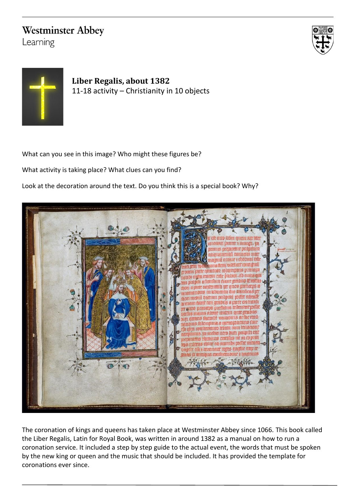## **Westminster Abbey**

Learning





**Liber Regalis, about 1382** 11-18 activity – Christianity in 10 objects

What can you see in this image? Who might these figures be?

What activity is taking place? What clues can you find?

Look at the decoration around the text. Do you think this is a special book? Why?



The coronation of kings and queens has taken place at Westminster Abbey since 1066. This book called the Liber Regalis, Latin for Royal Book, was written in around 1382 as a manual on how to run a coronation service. It included a step by step guide to the actual event, the words that must be spoken by the new king or queen and the music that should be included. It has provided the template for coronations ever since.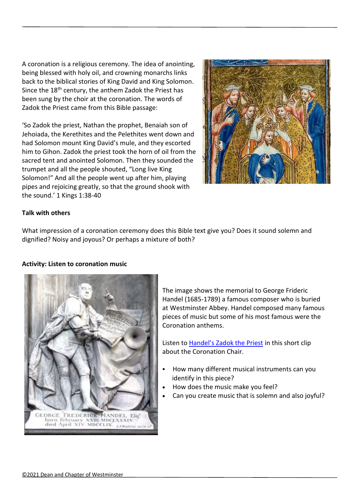A coronation is a religious ceremony. The idea of anointing, being blessed with holy oil, and crowning monarchs links back to the biblical stories of King David and King Solomon. Since the 18<sup>th</sup> century, the anthem Zadok the Priest has been sung by the choir at the coronation. The words of Zadok the Priest came from this Bible passage:

'So Zadok the priest, Nathan the prophet, Benaiah son of Jehoiada, the Kerethites and the Pelethites went down and had Solomon mount King David's mule, and they escorted him to Gihon. Zadok the priest took the horn of oil from the sacred tent and anointed Solomon. Then they sounded the trumpet and all the people shouted, "Long live King Solomon!" And all the people went up after him, playing pipes and rejoicing greatly, so that the ground shook with the sound.' 1 Kings 1:38-40



## **Talk with others**

What impression of a coronation ceremony does this Bible text give you? Does it sound solemn and dignified? Noisy and joyous? Or perhaps a mixture of both?

## **Activity: Listen to coronation music**



The image shows the memorial to George Frideric Handel (1685-1789) a famous composer who is buried at Westminster Abbey. Handel composed many famous pieces of music but some of his most famous were the Coronation anthems.

Listen to [Handel's Zadok the Priest](https://www.youtube.com/watch?v=vawWBui4_kM) in this short clip about the Coronation Chair.

- How many different musical instruments can you identify in this piece?
- How does the music make you feel?
- Can you create music that is solemn and also joyful?